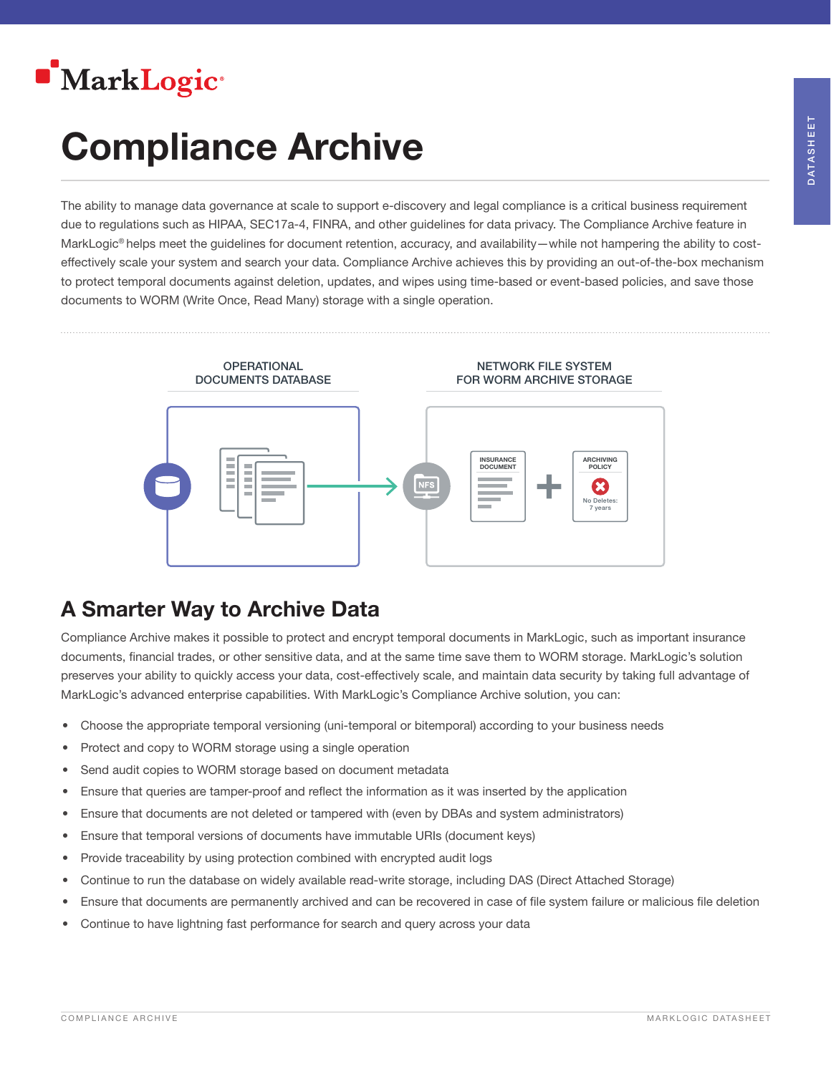

# Compliance Archive

The ability to manage data governance at scale to support e-discovery and legal compliance is a critical business requirement due to regulations such as HIPAA, SEC17a-4, FINRA, and other guidelines for data privacy. The Compliance Archive feature in MarkLogic<sup>®</sup> helps meet the guidelines for document retention, accuracy, and availability—while not hampering the ability to costeffectively scale your system and search your data. Compliance Archive achieves this by providing an out-of-the-box mechanism to protect temporal documents against deletion, updates, and wipes using time-based or event-based policies, and save those documents to WORM (Write Once, Read Many) storage with a single operation.



# A Smarter Way to Archive Data

Compliance Archive makes it possible to protect and encrypt temporal documents in MarkLogic, such as important insurance documents, financial trades, or other sensitive data, and at the same time save them to WORM storage. MarkLogic's solution preserves your ability to quickly access your data, cost-effectively scale, and maintain data security by taking full advantage of MarkLogic's advanced enterprise capabilities. With MarkLogic's Compliance Archive solution, you can:

- Choose the appropriate temporal versioning (uni-temporal or bitemporal) according to your business needs
- Protect and copy to WORM storage using a single operation
- Send audit copies to WORM storage based on document metadata
- Ensure that queries are tamper-proof and reflect the information as it was inserted by the application
- Ensure that documents are not deleted or tampered with (even by DBAs and system administrators)
- Ensure that temporal versions of documents have immutable URIs (document keys)
- Provide traceability by using protection combined with encrypted audit logs
- Continue to run the database on widely available read-write storage, including DAS (Direct Attached Storage)
- Ensure that documents are permanently archived and can be recovered in case of file system failure or malicious file deletion
- Continue to have lightning fast performance for search and query across your data